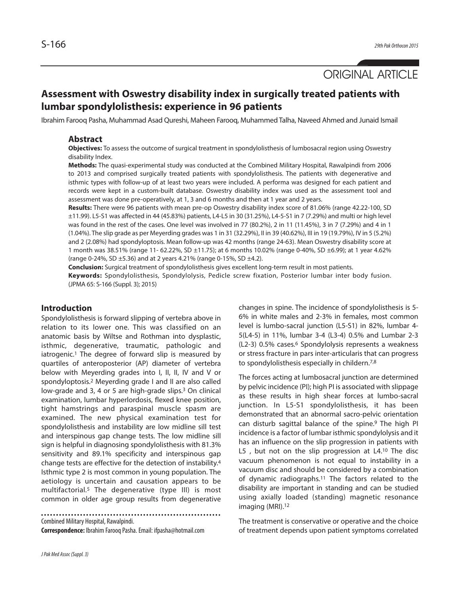ORIGINAL ARTICLE

# **Assessment with Oswestry disability index in surgically treated patients with lumbar spondylolisthesis: experience in 96 patients**

Ibrahim Farooq Pasha, Muhammad Asad Qureshi, Maheen Farooq, Muhammed Talha, Naveed Ahmed and Junaid Ismail

# **Abstract**

**Objectives:** To assess the outcome of surgical treatment in spondylolisthesis of lumbosacral region using Oswestry disability Index.

**Methods:** The quasi-experimental study was conducted at the Combined Military Hospital, Rawalpindi from 2006 to 2013 and comprised surgically treated patients with spondylolisthesis. The patients with degenerative and isthmic types with follow-up of at least two years were included. A performa was designed for each patient and records were kept in a custom-built database. Oswestry disability index was used as the assessment tool and assessment was done pre-operatively, at 1, 3 and 6 months and then at 1 year and 2 years.

**Results:** There were 96 patients with mean pre-op Oswestry disability index score of 81.06% (range 42.22-100, SD ±11.99). L5-S1 was affected in 44 (45.83%) patients, L4-L5 in 30 (31.25%), L4-5-S1 in 7 (7.29%) and multi or high level was found in the rest of the cases. One level was involved in 77 (80.2%), 2 in 11 (11.45%), 3 in 7 (7.29%) and 4 in 1 (1.04%). The slip grade as per Meyerding grades was 1 in 31 (32.29%), II in 39 (40.62%), III in 19 (19.79%), IV in 5 (5.2%) and 2 (2.08%) had spondyloptosis. Mean follow-up was 42 months (range 24-63). Mean Oswestry disability score at 1 month was 38.51% (range 11- 62.22%, SD ±11.75); at 6 months 10.02% (range 0-40%, SD ±6.99); at 1 year 4.62% (range 0-24%, SD ±5.36) and at 2 years 4.21% (range 0-15%, SD ±4.2).

**Conclusion:** Surgical treatment of spondylolisthesis gives excellent long-term result in most patients. **Keywords:** Spondylolisthesis, Spondylolysis, Pedicle screw fixation, Posterior lumbar inter body fusion. (JPMA 65: S-166 (Suppl. 3); 2015)

# **Introduction**

Spondylolisthesis is forward slipping of vertebra above in relation to its lower one. This was classified on an anatomic basis by Wiltse and Rothman into dysplastic, isthmic, degenerative, traumatic, pathologic and iatrogenic. <sup>1</sup> The degree of forward slip is measured by quartiles of anteroposterior (AP) diameter of vertebra below with Meyerding grades into I, II, II, IV and V or spondyloptosis. <sup>2</sup> Meyerding grade I and II are also called low-grade and 3, 4 or 5 are high-grade slips.<sup>3</sup> On clinical examination, lumbar hyperlordosis, flexed knee position, tight hamstrings and paraspinal muscle spasm are examined. The new physical examination test for spondylolisthesis and instability are low midline sill test and interspinous gap change tests. The low midline sill sign is helpful in diagnosing spondylolisthesis with 81.3% sensitivity and 89.1% specificity and interspinous gap change tests are effective for the detection of instability. 4 Isthmic type 2 is most common in young population. The aetiology is uncertain and causation appears to be multifactorial.5 The degenerative (type III) is most common in older age group results from degenerative

Combined Military Hospital, Rawalpindi.

**Correspondence:** Ibrahim Farooq Pasha. Email: ifpasha@hotmail.com

changes in spine. The incidence of spondylolisthesis is 5- 6% in white males and 2-3% in females, most common level is lumbo-sacral junction (L5-S1) in 82%, lumbar 4- 5(L4-5) in 11%, lumbar 3-4 (L3-4) 0.5% and Lumbar 2-3 (L2-3) 0.5% cases. <sup>6</sup> Spondylolysis represents a weakness or stress fracture in pars inter-articularis that can progress to spondylolisthesis especially in childern.<sup>7,8</sup>

The forces acting at lumbosacral junction are determined by pelvic incidence (PI); high PI is associated with slippage as these results in high shear forces at lumbo-sacral junction. In L5-S1 spondylolisthesis, it has been demonstrated that an abnormal sacro-pelvic orientation can disturb sagittal balance of the spine. <sup>9</sup> The high PI incidence is a factor of lumbar isthmic spondylolysis and it has an influence on the slip progression in patients with L5, but not on the slip progression at L4.<sup>10</sup> The disc vacuum phenomenon is not equal to instability in a vacuum disc and should be considered by a combination of dynamic radiographs. <sup>11</sup> The factors related to the disability are important in standing and can be studied using axially loaded (standing) magnetic resonance imaging (MRI). 12

The treatment is conservative or operative and the choice of treatment depends upon patient symptoms correlated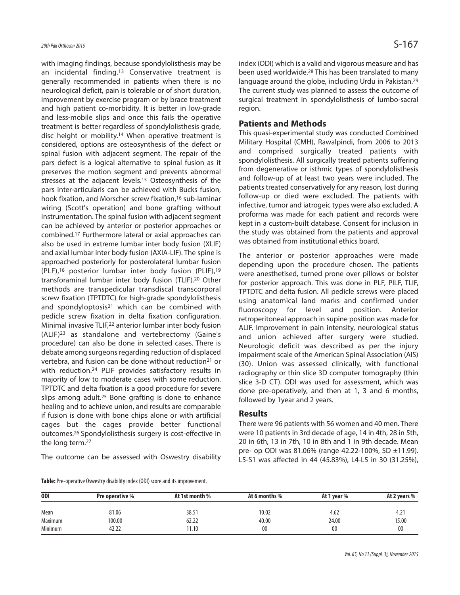with imaging findings, because spondylolisthesis may be an incidental finding. <sup>13</sup> Conservative treatment is generally recommended in patients when there is no neurological deficit, pain is tolerable or of short duration, improvement by exercise program or by brace treatment and high patient co-morbidity. It is better in low-grade and less-mobile slips and once this fails the operative treatment is better regardless of spondylolisthesis grade, disc height or mobility. <sup>14</sup> When operative treatment is considered, options are osteosynthesis of the defect or spinal fusion with adjacent segment. The repair of the pars defect is a logical alternative to spinal fusion as it preserves the motion segment and prevents abnormal stresses at the adjacent levels. <sup>15</sup> Osteosynthesis of the pars inter-articularis can be achieved with Bucks fusion, hook fixation, and Morscher screw fixation, 16 sub-laminar wiring (Scott's operation) and bone grafting without instrumentation. The spinal fusion with adjacent segment can be achieved by anterior or posterior approaches or combined. <sup>17</sup> Furthermore lateral or axial approaches can also be used in extreme lumbar inter body fusion (XLIF) and axial lumbar inter body fusion (AXIA-LIF). The spine is approached posteriorly for posterolateral lumbar fusion (PLF), <sup>18</sup> posterior lumbar inter body fusion (PLIF), 19 transforaminal lumbar inter body fusion (TLIF). <sup>20</sup> Other methods are transpedicular transdiscal transcorporal screw fixation (TPTDTC) for high-grade spondylolisthesis and spondyloptosis<sup>21</sup> which can be combined with pedicle screw fixation in delta fixation configuration. Minimal invasive TLIF, <sup>22</sup> anterior lumbar inter body fusion (ALIF)23 as standalone and vertebrectomy (Gaine's procedure) can also be done in selected cases. There is debate among surgeons regarding reduction of displaced vertebra, and fusion can be done without reduction<sup>21</sup> or with reduction. <sup>24</sup> PLIF provides satisfactory results in majority of low to moderate cases with some reduction. TPTDTC and delta fixation is a good procedure for severe slips among adult. <sup>25</sup> Bone grafting is done to enhance healing and to achieve union, and results are comparable if fusion is done with bone chips alone or with artificial cages but the cages provide better functional outcomes. <sup>26</sup> Spondylolisthesis surgery is cost-effective in the long term. 27

The outcome can be assessed with Oswestry disability

**Table:** Pre-operative Oswestry disability index (ODI) score and its improvement.

index (ODI) which is a valid and vigorous measure and has been used worldwide. <sup>28</sup> This has been translated to many language around the globe, including Urdu in Pakistan.<sup>29</sup> The current study was planned to assess the outcome of surgical treatment in spondylolisthesis of lumbo-sacral region.

## **Patients and Methods**

This quasi-experimental study was conducted Combined Military Hospital (CMH), Rawalpindi, from 2006 to 2013 and comprised surgically treated patients with spondylolisthesis. All surgically treated patients suffering from degenerative or isthmic types of spondylolisthesis and follow-up of at least two years were included. The patients treated conservatively for any reason, lost during follow-up or died were excluded. The patients with infective, tumor and iatrogeic types were also excluded. A proforma was made for each patient and records were kept in a custom-built database. Consent for inclusion in the study was obtained from the patients and approval was obtained from institutional ethics board.

The anterior or posterior approaches were made depending upon the procedure chosen. The patients were anesthetised, turned prone over pillows or bolster for posterior approach. This was done in PLF, PILF, TLIF, TPTDTC and delta fusion. All pedicle screws were placed using anatomical land marks and confirmed under fluoroscopy for level and position. Anterior retroperitoneal approach in supine position was made for ALIF. Improvement in pain intensity, neurological status and union achieved after surgery were studied. Neurologic deficit was described as per the injury impairment scale of the American Spinal Association (AIS) (30). Union was assessed clinically, with functional radiography or thin slice 3D computer tomography (thin slice 3-D CT). ODI was used for assessment, which was done pre-operatively, and then at 1, 3 and 6 months, followed by 1year and 2 years.

#### **Results**

There were 96 patients with 56 women and 40 men. There were 10 patients in 3rd decade of age, 14 in 4th, 28 in 5th, 20 in 6th, 13 in 7th, 10 in 8th and 1 in 9th decade. Mean pre- op ODI was 81.06% (range 42.22-100%, SD ±11.99). L5-S1 was affected in 44 (45.83%), L4-L5 in 30 (31.25%),

| <b>ODI</b> | Pre operative % | At 1st month % | At 6 months % | At 1 year % | At 2 years %  |
|------------|-----------------|----------------|---------------|-------------|---------------|
| Mean       | 81.06           | 38.51          | 10.02         | 4.62        | $4.2^{\circ}$ |
| Maximum    | 100.00          | 62.22          | 40.00         | 24.00       | 15.00         |
| Minimum    | 42.22           | 11.10          | 00            | 00          | 00            |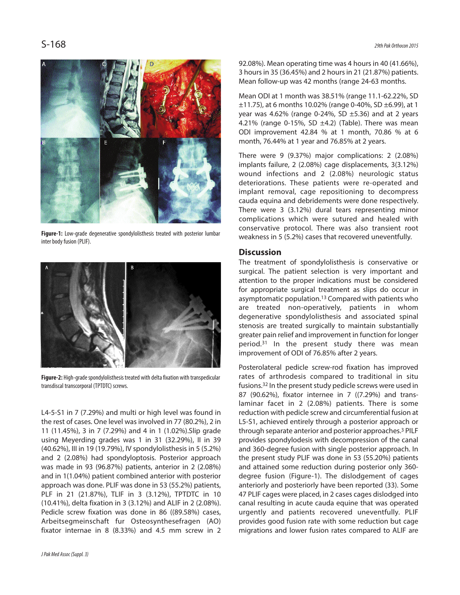

**Figure-1:** Low-grade degenerative spondylolisthesis treated with posterior lumbar inter body fusion (PLIF).



**Figure-2:** High-grade spondylolisthesis treated with delta fixation with transpedicular transdiscal transcorporal (TPTDTC) screws.

L4-5-S1 in 7 (7.29%) and multi or high level was found in the rest of cases. One level was involved in 77 (80.2%), 2 in 11 (11.45%), 3 in 7 (7.29%) and 4 in 1 (1.02%).Slip grade using Meyerding grades was 1 in 31 (32.29%), II in 39 (40.62%), III in 19 (19.79%), IV spondylolisthesis in 5 (5.2%) and 2 (2.08%) had spondyloptosis. Posterior approach was made in 93 (96.87%) patients, anterior in 2 (2.08%) and in 1(1.04%) patient combined anterior with posterior approach was done. PLIF was done in 53 (55.2%) patients, PLF in 21 (21.87%), TLIF in 3 (3.12%), TPTDTC in 10 (10.41%), delta fixation in 3 (3.12%) and ALIF in 2 (2.08%). Pedicle screw fixation was done in 86 ((89.58%) cases, Arbeitsegmeinschaft fur Osteosynthesefragen (AO) fixator internae in 8 (8.33%) and 4.5 mm screw in 2

92.08%). Mean operating time was 4 hours in 40 (41.66%), 3 hoursin 35 (36.45%) and 2 hoursin 21 (21.87%) patients. Mean follow-up was 42 months (range 24-63 months.

Mean ODI at 1 month was 38.51% (range 11.1-62.22%, SD  $\pm$ 11.75), at 6 months 10.02% (range 0-40%, SD  $\pm$ 6.99), at 1 year was 4.62% (range 0-24%, SD  $\pm$ 5.36) and at 2 years 4.21% (range 0-15%, SD  $\pm$ 4.2) (Table). There was mean ODI improvement 42.84 % at 1 month, 70.86 % at 6 month, 76.44% at 1 year and 76.85% at 2 years.

There were 9 (9.37%) major complications: 2 (2.08%) implants failure, 2 (2.08%) cage displacements, 3(3.12%) wound infections and 2 (2.08%) neurologic status deteriorations. These patients were re-operated and implant removal, cage repositioning to decompress cauda equina and debridements were done respectively. There were 3 (3.12%) dural tears representing minor complications which were sutured and healed with conservative protocol. There was also transient root weakness in 5 (5.2%) cases that recovered uneventfully.

# **Discussion**

The treatment of spondylolisthesis is conservative or surgical. The patient selection is very important and attention to the proper indications must be considered for appropriate surgical treatment as slips do occur in asymptomatic population. <sup>13</sup> Compared with patients who are treated non-operatively, patients in whom degenerative spondylolisthesis and associated spinal stenosis are treated surgically to maintain substantially greater pain relief and improvement in function for longer period. <sup>31</sup> In the present study there was mean improvement of ODI of 76.85% after 2 years.

Posterolateral pedicle screw-rod fixation has improved rates of arthrodesis compared to traditional in situ fusions.<sup>32</sup> In the present study pedicle screws were used in 87 (90.62%), fixator internee in 7 ((7.29%) and translaminar facet in 2 (2.08%) patients. There is some reduction with pedicle screw and circumferential fusion at L5-S1, achieved entirely through a posterior approach or through separate anterior and posterior approaches. <sup>3</sup> PILF provides spondylodesis with decompression of the canal and 360-degree fusion with single posterior approach. In the present study PLIF was done in 53 (55.20%) patients and attained some reduction during posterior only 360 degree fusion (Figure-1). The dislodgement of cages anteriorly and posteriorly have been reported (33). Some 47 PLIF cages were placed, in 2 cases cages dislodged into canal resulting in acute cauda equine that was operated urgently and patients recovered uneventfully. PLIF provides good fusion rate with some reduction but cage migrations and lower fusion rates compared to ALIF are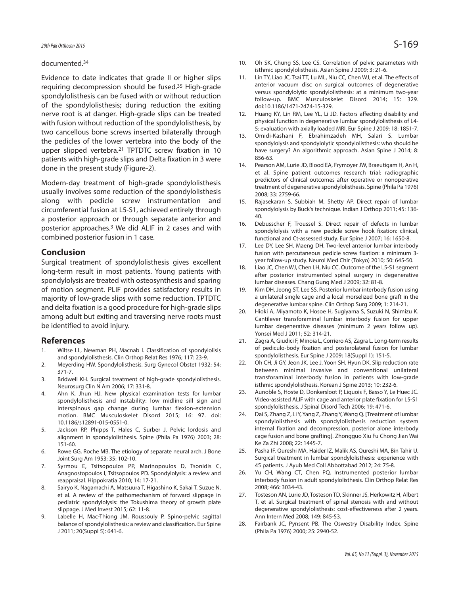#### documented. 34

Evidence to date indicates that grade II or higher slips requiring decompression should be fused. <sup>35</sup> High-grade spondylolisthesis can be fused with or without reduction of the spondylolisthesis; during reduction the exiting nerve root is at danger. High-grade slips can be treated with fusion without reduction of the spondylolisthesis, by two cancellous bone screws inserted bilaterally through the pedicles of the lower vertebra into the body of the upper slipped vertebra. <sup>21</sup> TPTDTC screw fixation in 10 patients with high-grade slips and Delta fixation in 3 were done in the present study (Figure-2).

Modern-day treatment of high-grade spondylolisthesis usually involves some reduction of the spondylolisthesis along with pedicle screw instrumentation and circumferential fusion at L5-S1, achieved entirely through a posterior approach or through separate anterior and posterior approaches. <sup>3</sup> We did ALIF in 2 cases and with combined posterior fusion in 1 case.

### **Conclusion**

Surgical treatment of spondylolisthesis gives excellent long-term result in most patients. Young patients with spondylolysis are treated with osteosynthesis and sparing of motion segment. PLIF provides satisfactory results in majority of low-grade slips with some reduction. TPTDTC and delta fixation is a good procedure for high-grade slips among adult but exiting and traversing nerve roots must be identified to avoid injury.

#### **References**

- 1. Wiltse LL, Newman PH, Macnab I. Classification of spondylolisis and spondylolisthesis. Clin Orthop Relat Res 1976; 117: 23-9.
- 2. Meyerding HW. Spondylolisthesis. Surg Gynecol Obstet 1932; 54: 371-7.
- 3. Bridwell KH. Surgical treatment of high-grade spondylolisthesis. Neurosurg Clin N Am 2006; 17: 331-8.
- 4. Ahn K, Jhun HJ. New physical examination tests for lumbar spondylolisthesis and instability: low midline sill sign and interspinous gap change during lumbar flexion-extension motion. BMC Musculoskelet Disord 2015; 16: 97. doi: 10.1186/s12891-015-0551-0.
- 5. Jackson RP, Phipps T, Hales C, Surber J. Pelvic lordosis and alignment in spondylolisthesis. Spine (Phila Pa 1976) 2003; 28: 151-60.
- 6. Rowe GG, Roche MB. The etiology of separate neural arch. J Bone Joint Surg Am 1953; 35: 102-10.
- 7. Syrmou E, Tsitsopoulos PP, Marinopoulos D, Tsonidis C, Anagnostopoulos I, Tsitsopoulos PD. Spondylolysis: a review and reappraisal. Hippokratia 2010; 14: 17-21.
- 8. Sairyo K, Nagamachi A, Matsuura T, Higashino K, Sakai T, Suzue N, et al. A review of the pathomechanism of forward slippage in pediatric spondylolysis: the Tokushima theory of growth plate slippage. J Med Invest 2015; 62: 11-8.
- 9. Labelle H, Mac-Thiong JM, Roussouly P. Spino-pelvic sagittal balance of spondylolisthesis: a review and classification. Eur Spine J 2011; 20(Suppl 5): 641-6.
- 10. Oh SK, Chung SS, Lee CS. Correlation of pelvic parameters with isthmic spondylolisthesis. Asian Spine J 2009; 3: 21-6.
- 11. Lin TY, Liao JC, Tsai TT, Lu ML, Niu CC, Chen WJ, et al. The effects of anterior vacuum disc on surgical outcomes of degenerative versus spondylolytic spondylolisthesis: at a minimum two-year follow-up. BMC Musculoskelet Disord 2014; 15: 329. doi:10.1186/1471-2474-15-329.
- 12. Huang KY, Lin RM, Lee YL, Li JD. Factors affecting disability and physical function in degenerative lumbar spondylolisthesis of L4- 5: evaluation with axially loaded MRI. Eur Spine J 2009; 18: 1851-7.
- 13. Omidi-Kashani F, Ebrahimzadeh MH, Salari S. Lumbar spondylolysis and spondylolytic spondylolisthesis: who should be have surgery? An algorithmic approach. Asian Spine J 2014; 8: 856-63.
- 14. Pearson AM, Lurie JD, Blood EA, Frymoyer JW, Braeutigam H, An H, et al. Spine patient outcomes research trial: radiographic predictors of clinical outcomes after operative or nonoperative treatment of degenerative spondylolisthesis. Spine (Phila Pa 1976) 2008; 33: 2759-66.
- 15. Rajasekaran S, Subbiah M, Shetty AP. Direct repair of lumbar spondylolysis by Buck's technique. Indian J Orthop 2011; 45: 136- 40.
- 16. Debusscher F, Troussel S. Direct repair of defects in lumbar spondylolysis with a new pedicle screw hook fixation: clinical, functional and Ct-assessed study. Eur Spine J 2007; 16: 1650-8.
- 17. Lee DY, Lee SH, Maeng DH. Two-level anterior lumbar interbody fusion with percutaneous pedicle screw fixation: a minimum 3 year follow-up study. Neurol Med Chir (Tokyo) 2010; 50: 645-50.
- 18. Liao JC, Chen WJ, Chen LH, Niu CC. Outcome of the L5-S1 segment after posterior instrumented spinal surgery in degenerative lumbar diseases. Chang Gung Med J 2009; 32: 81-8.
- 19. Kim DH, Jeong ST, Lee SS. Posterior lumbar interbody fusion using a unilateral single cage and a local morselized bone graft in the degenerative lumbar spine. Clin Orthop Surg 2009; 1: 214-21.
- 20. Hioki A, Miyamoto K, Hosoe H, Sugiyama S, Suzuki N, Shimizu K. Cantilever transforaminal lumbar interbody fusion for upper lumbar degenerative diseases (minimum 2 years follow up). Yonsei Med J 2011; 52: 314-21.
- 21. Zagra A, Giudici F, Minoia L, Corriero AS, Zagra L. Long-term results of pediculo-body fixation and posterolateral fusion for lumbar spondylolisthesis. Eur Spine J 2009; 18(Suppl 1): 151-5.
- 22. Oh CH, Ji GY, Jeon JK, Lee J, Yoon SH, Hyun DK. Slip reduction rate between minimal invasive and conventional unilateral transforaminal interbody fusion in patients with low-grade isthmic spondylolisthesis. Korean J Spine 2013; 10: 232-6.
- 23. Aunoble S, Hoste D, Donkersloot P, Liquois F, Basso Y, Le Huec JC. Video-assisted ALIF with cage and anterior plate fixation for L5-S1 spondylolisthesis. J Spinal Disord Tech 2006; 19: 471-6.
- 24. Dai S, Zhang Z, Li Y, Yang Z, Zhang Y, Wang Q. [Treatment of lumbar spondylolisthesis with spondylolisthesis reduction system internal fixation and decompression, posterior alone interbody cage fusion and bone grafting]. Zhongguo Xiu Fu Chong Jian Wai Ke Za Zhi 2008; 22: 1445-7.
- 25. Pasha IF, Qureshi MA, Haider IZ, Malik AS, Qureshi MA, Bin Tahir U. Surgical treatment in lumbar spondylolisthesis: experience with 45 patients. J Ayub Med Coll Abbottabad 2012; 24: 75-8.
- 26. Yu CH, Wang CT, Chen PQ. Instrumented posterior lumbar interbody fusion in adult spondylolisthesis. Clin Orthop Relat Res 2008; 466: 3034-43.
- 27. Tosteson AN, Lurie JD, Tosteson TD, Skinner JS, Herkowitz H, Albert T, et al. Surgical treatment of spinal stenosis with and without degenerative spondylolisthesis: cost-effectiveness after 2 years. Ann Intern Med 2008; 149: 845-53.
- 28. Fairbank JC, Pynsent PB. The Oswestry Disability Index. Spine (Phila Pa 1976) 2000; 25: 2940-52.